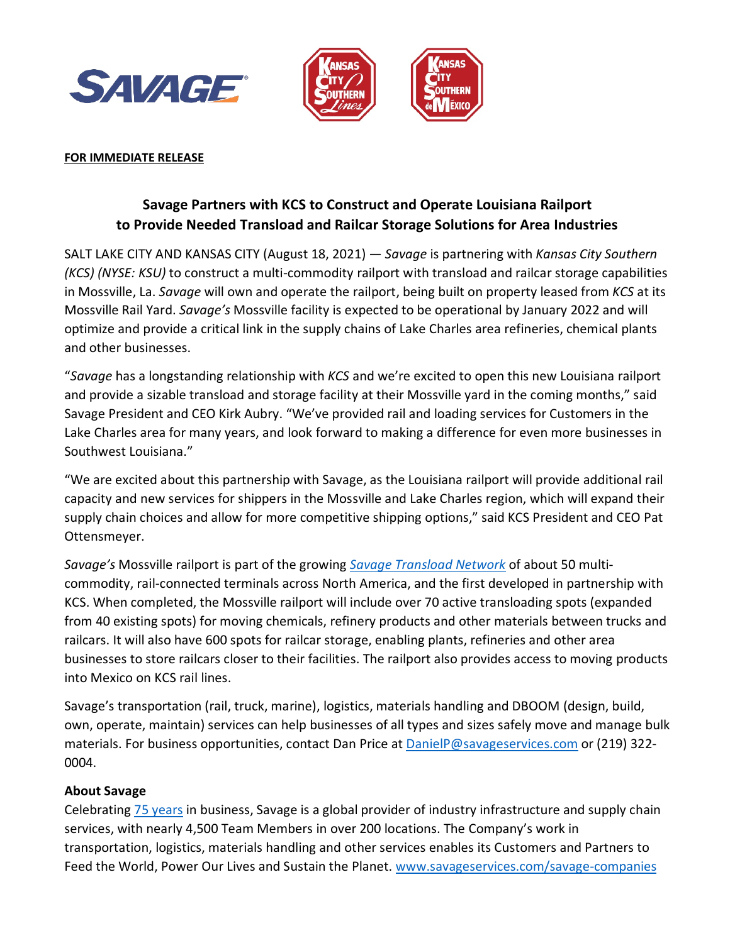



#### **FOR IMMEDIATE RELEASE**

# **Savage Partners with KCS to Construct and Operate Louisiana Railport to Provide Needed Transload and Railcar Storage Solutions for Area Industries**

SALT LAKE CITY AND KANSAS CITY (August 18, 2021) — *Savage* is partnering with *Kansas City Southern (KCS) (NYSE: KSU)* to construct a multi-commodity railport with transload and railcar storage capabilities in Mossville, La. *Savage* will own and operate the railport, being built on property leased from *KCS* at its Mossville Rail Yard. *Savage's* Mossville facility is expected to be operational by January 2022 and will optimize and provide a critical link in the supply chains of Lake Charles area refineries, chemical plants and other businesses.

"*Savage* has a longstanding relationship with *KCS* and we're excited to open this new Louisiana railport and provide a sizable transload and storage facility at their Mossville yard in the coming months," said Savage President and CEO Kirk Aubry. "We've provided rail and loading services for Customers in the Lake Charles area for many years, and look forward to making a difference for even more businesses in Southwest Louisiana."

"We are excited about this partnership with Savage, as the Louisiana railport will provide additional rail capacity and new services for shippers in the Mossville and Lake Charles region, which will expand their supply chain choices and allow for more competitive shipping options," said KCS President and CEO Pat Ottensmeyer.

*Savage's* Mossville railport is part of the growing *[Savage Transload Network](https://www.savageservices.com/services/terminal-transload/)* of about 50 multicommodity, rail-connected terminals across North America, and the first developed in partnership with KCS. When completed, the Mossville railport will include over 70 active transloading spots (expanded from 40 existing spots) for moving chemicals, refinery products and other materials between trucks and railcars. It will also have 600 spots for railcar storage, enabling plants, refineries and other area businesses to store railcars closer to their facilities. The railport also provides access to moving products into Mexico on KCS rail lines.

Savage's transportation (rail, truck, marine), logistics, materials handling and DBOOM (design, build, own, operate, maintain) services can help businesses of all types and sizes safely move and manage bulk materials. For business opportunities, contact Dan Price at [DanielP@savageservices.com](mailto:DanielP@savageservices.com) or (219) 322- 0004.

### **About Savage**

Celebrating [75 years](https://www.savageservices.com/celebrating-75-years/) in business, Savage is a global provider of industry infrastructure and supply chain services, with nearly 4,500 Team Members in over 200 locations. The Company's work in transportation, logistics, materials handling and other services enables its Customers and Partners to Feed the World, Power Our Lives and Sustain the Planet. [www.savageservices.com/savage-companies](http://www.savageservices.com/savage-companies/)